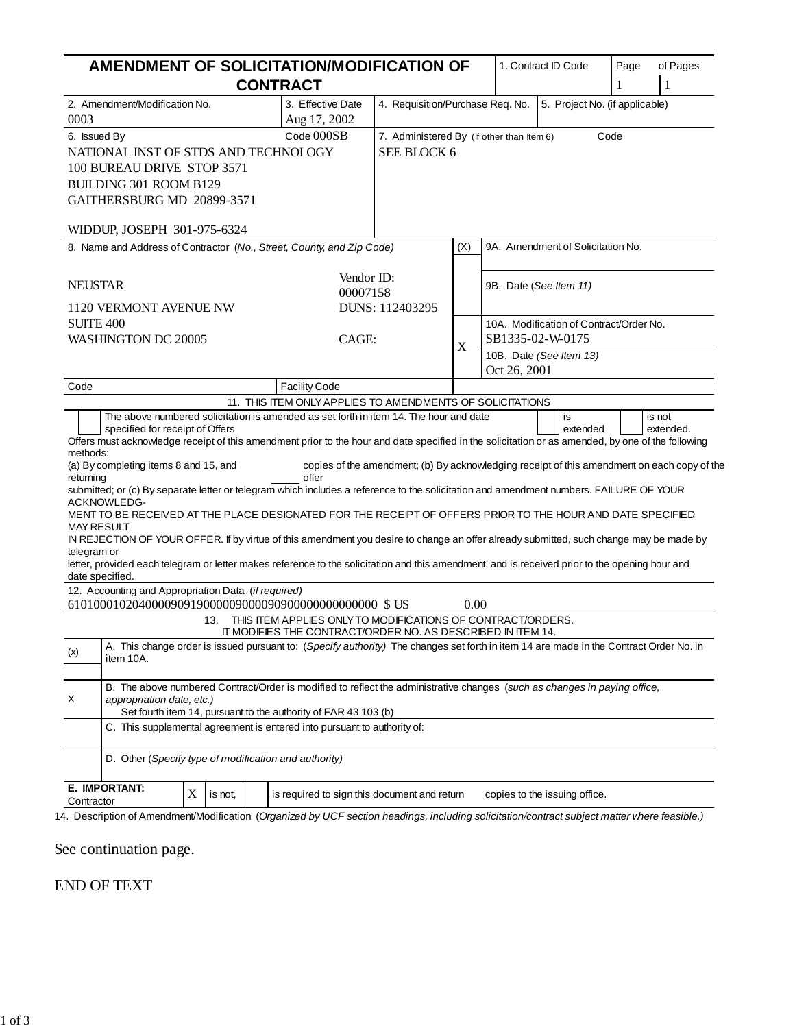|                                                                                          |                                                                                                                                                                                          |  |                                                                       |                                                                         | AMENDMENT OF SOLICITATION/MODIFICATION OF                                                                                                                                                                                                                                                                                                                                                                                                                                                                                                                                                                                                                                                                                                                                                                                                                                                                                                                                                                                                                                                                                                                                                                                                                                                                                                                  |                                                                                             |              |                                                             | 1. Contract ID Code           |                | Page | of Pages            |
|------------------------------------------------------------------------------------------|------------------------------------------------------------------------------------------------------------------------------------------------------------------------------------------|--|-----------------------------------------------------------------------|-------------------------------------------------------------------------|------------------------------------------------------------------------------------------------------------------------------------------------------------------------------------------------------------------------------------------------------------------------------------------------------------------------------------------------------------------------------------------------------------------------------------------------------------------------------------------------------------------------------------------------------------------------------------------------------------------------------------------------------------------------------------------------------------------------------------------------------------------------------------------------------------------------------------------------------------------------------------------------------------------------------------------------------------------------------------------------------------------------------------------------------------------------------------------------------------------------------------------------------------------------------------------------------------------------------------------------------------------------------------------------------------------------------------------------------------|---------------------------------------------------------------------------------------------|--------------|-------------------------------------------------------------|-------------------------------|----------------|------|---------------------|
|                                                                                          |                                                                                                                                                                                          |  | <b>CONTRACT</b>                                                       |                                                                         |                                                                                                                                                                                                                                                                                                                                                                                                                                                                                                                                                                                                                                                                                                                                                                                                                                                                                                                                                                                                                                                                                                                                                                                                                                                                                                                                                            |                                                                                             |              |                                                             | 1                             | $\mathbf{1}$   |      |                     |
| 0003                                                                                     | 2. Amendment/Modification No.                                                                                                                                                            |  |                                                                       |                                                                         | 3. Effective Date<br>Aug 17, 2002                                                                                                                                                                                                                                                                                                                                                                                                                                                                                                                                                                                                                                                                                                                                                                                                                                                                                                                                                                                                                                                                                                                                                                                                                                                                                                                          | 4. Requisition/Purchase Req. No.<br>5. Project No. (if applicable)                          |              |                                                             |                               |                |      |                     |
| 6. Issued By                                                                             | NATIONAL INST OF STDS AND TECHNOLOGY<br>100 BUREAU DRIVE STOP 3571<br><b>BUILDING 301 ROOM B129</b><br>GAITHERSBURG MD 20899-3571                                                        |  | Code 000SB                                                            | Code<br>7. Administered By (If other than Item 6)<br><b>SEE BLOCK 6</b> |                                                                                                                                                                                                                                                                                                                                                                                                                                                                                                                                                                                                                                                                                                                                                                                                                                                                                                                                                                                                                                                                                                                                                                                                                                                                                                                                                            |                                                                                             |              |                                                             |                               |                |      |                     |
|                                                                                          | WIDDUP, JOSEPH 301-975-6324                                                                                                                                                              |  |                                                                       |                                                                         |                                                                                                                                                                                                                                                                                                                                                                                                                                                                                                                                                                                                                                                                                                                                                                                                                                                                                                                                                                                                                                                                                                                                                                                                                                                                                                                                                            |                                                                                             |              |                                                             |                               |                |      |                     |
|                                                                                          |                                                                                                                                                                                          |  | 8. Name and Address of Contractor (No., Street, County, and Zip Code) |                                                                         | (X)                                                                                                                                                                                                                                                                                                                                                                                                                                                                                                                                                                                                                                                                                                                                                                                                                                                                                                                                                                                                                                                                                                                                                                                                                                                                                                                                                        | 9A. Amendment of Solicitation No.                                                           |              |                                                             |                               |                |      |                     |
|                                                                                          | <b>NEUSTAR</b><br>1120 VERMONT AVENUE NW                                                                                                                                                 |  |                                                                       | Vendor ID:<br>00007158<br>DUNS: 112403295                               |                                                                                                                                                                                                                                                                                                                                                                                                                                                                                                                                                                                                                                                                                                                                                                                                                                                                                                                                                                                                                                                                                                                                                                                                                                                                                                                                                            |                                                                                             |              | 9B. Date (See Item 11)                                      |                               |                |      |                     |
| <b>SUITE 400</b><br><b>WASHINGTON DC 20005</b>                                           |                                                                                                                                                                                          |  |                                                                       |                                                                         | CAGE:                                                                                                                                                                                                                                                                                                                                                                                                                                                                                                                                                                                                                                                                                                                                                                                                                                                                                                                                                                                                                                                                                                                                                                                                                                                                                                                                                      |                                                                                             | X            | 10A. Modification of Contract/Order No.<br>SB1335-02-W-0175 |                               |                |      |                     |
|                                                                                          |                                                                                                                                                                                          |  |                                                                       |                                                                         |                                                                                                                                                                                                                                                                                                                                                                                                                                                                                                                                                                                                                                                                                                                                                                                                                                                                                                                                                                                                                                                                                                                                                                                                                                                                                                                                                            |                                                                                             | Oct 26, 2001 | 10B. Date (See Item 13)                                     |                               |                |      |                     |
| Code                                                                                     |                                                                                                                                                                                          |  |                                                                       | <b>Facility Code</b>                                                    |                                                                                                                                                                                                                                                                                                                                                                                                                                                                                                                                                                                                                                                                                                                                                                                                                                                                                                                                                                                                                                                                                                                                                                                                                                                                                                                                                            |                                                                                             |              |                                                             |                               |                |      |                     |
| methods:<br>returning<br><b>MAY RESULT</b><br>telegram or<br>date specified.<br>(x)<br>X | specified for receipt of Offers<br>(a) By completing items 8 and 15, and<br>ACKNOWLEDG-<br>12. Accounting and Appropriation Data (if required)<br>item 10A.<br>appropriation date, etc.) |  | 13.                                                                   |                                                                         | The above numbered solicitation is amended as set forth in item 14. The hour and date<br>Offers must acknowledge receipt of this amendment prior to the hour and date specified in the solicitation or as amended, by one of the following<br>offer<br>submitted; or (c) By separate letter or telegram which includes a reference to the solicitation and amendment numbers. FAILURE OF YOUR<br>MENT TO BE RECEIVED AT THE PLACE DESIGNATED FOR THE RECEIPT OF OFFERS PRIOR TO THE HOUR AND DATE SPECIFIED<br>IN REJECTION OF YOUR OFFER. If by virtue of this amendment you desire to change an offer already submitted, such change may be made by<br>letter, provided each telegram or letter makes reference to the solicitation and this amendment, and is received prior to the opening hour and<br>THIS ITEM APPLIES ONLY TO MODIFICATIONS OF CONTRACT/ORDERS.<br>IT MODIFIES THE CONTRACT/ORDER NO. AS DESCRIBED IN ITEM 14<br>A. This change order is issued pursuant to: (Specify authority) The changes set forth in item 14 are made in the Contract Order No. in<br>B. The above numbered Contract/Order is modified to reflect the administrative changes (such as changes in paying office,<br>Set fourth item 14, pursuant to the authority of FAR 43.103 (b)<br>C. This supplemental agreement is entered into pursuant to authority of: | copies of the amendment; (b) By acknowledging receipt of this amendment on each copy of the | 0.00         |                                                             |                               | is<br>extended |      | is not<br>extended. |
|                                                                                          | D. Other (Specify type of modification and authority)                                                                                                                                    |  |                                                                       |                                                                         |                                                                                                                                                                                                                                                                                                                                                                                                                                                                                                                                                                                                                                                                                                                                                                                                                                                                                                                                                                                                                                                                                                                                                                                                                                                                                                                                                            |                                                                                             |              |                                                             |                               |                |      |                     |
| E. IMPORTANT:<br>X<br>is not,<br>Contractor                                              |                                                                                                                                                                                          |  |                                                                       | is required to sign this document and return                            |                                                                                                                                                                                                                                                                                                                                                                                                                                                                                                                                                                                                                                                                                                                                                                                                                                                                                                                                                                                                                                                                                                                                                                                                                                                                                                                                                            |                                                                                             |              |                                                             | copies to the issuing office. |                |      |                     |

14. Description of Amendment/Modification (*Organized by UCF section headings, including solicitation/contract subject matter where feasible.)*

See continuation page.

END OF TEXT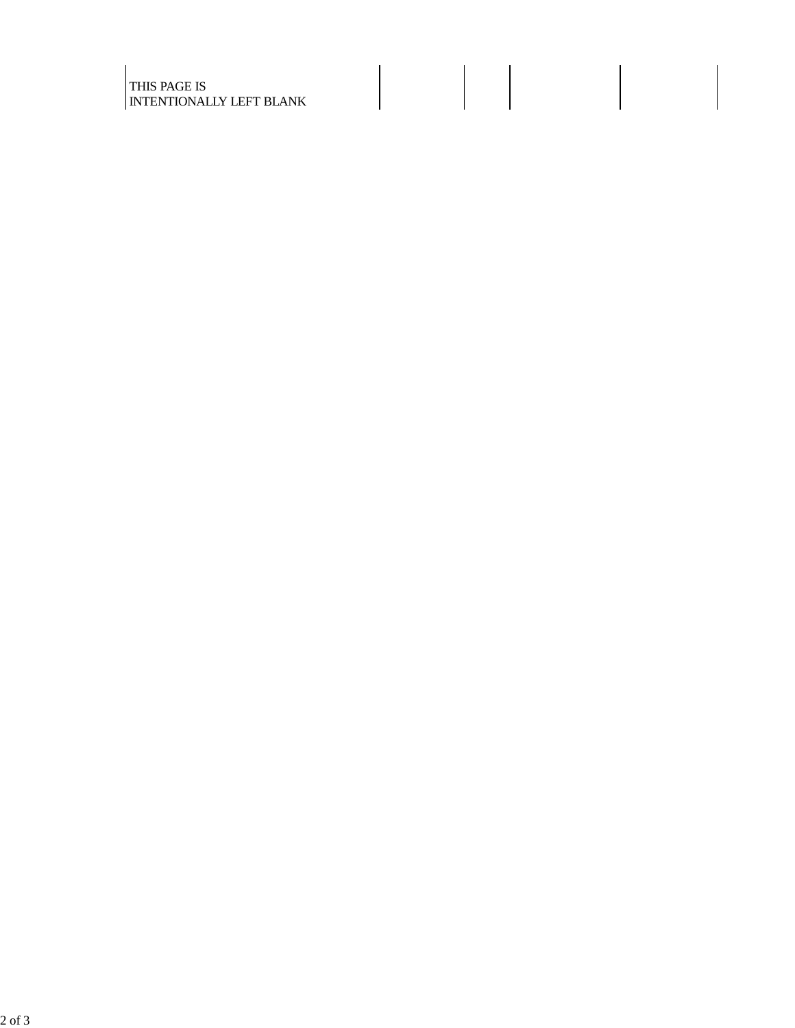## THIS PAGE IS INTENTIONALLY LEFT BLANK